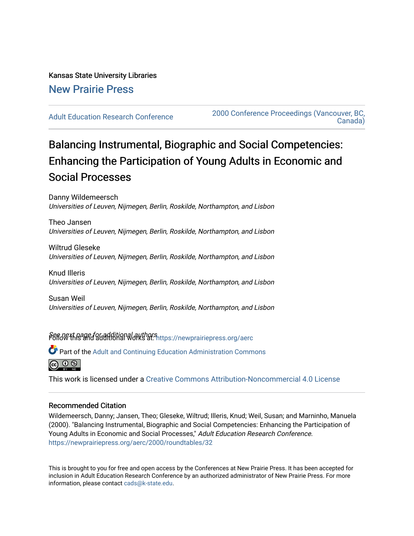# Kansas State University Libraries [New Prairie Press](https://newprairiepress.org/)

[Adult Education Research Conference](https://newprairiepress.org/aerc) [2000 Conference Proceedings \(Vancouver, BC,](https://newprairiepress.org/aerc/2000)  [Canada\)](https://newprairiepress.org/aerc/2000) 

# Balancing Instrumental, Biographic and Social Competencies: Enhancing the Participation of Young Adults in Economic and Social Processes

Danny Wildemeersch Universities of Leuven, Nijmegen, Berlin, Roskilde, Northampton, and Lisbon

Theo Jansen Universities of Leuven, Nijmegen, Berlin, Roskilde, Northampton, and Lisbon

Wiltrud Gleseke Universities of Leuven, Nijmegen, Berlin, Roskilde, Northampton, and Lisbon

Knud Illeris Universities of Leuven, Nijmegen, Berlin, Roskilde, Northampton, and Lisbon

Susan Weil Universities of Leuven, Nijmegen, Berlin, Roskilde, Northampton, and Lisbon

Seffd@Xt.page for additional authors intips://newprairiepress.org/aerc

Part of the [Adult and Continuing Education Administration Commons](http://network.bepress.com/hgg/discipline/789?utm_source=newprairiepress.org%2Faerc%2F2000%2Froundtables%2F32&utm_medium=PDF&utm_campaign=PDFCoverPages)



This work is licensed under a [Creative Commons Attribution-Noncommercial 4.0 License](https://creativecommons.org/licenses/by-nc/4.0/)

### Recommended Citation

Wildemeersch, Danny; Jansen, Theo; Gleseke, Wiltrud; Illeris, Knud; Weil, Susan; and Marninho, Manuela (2000). "Balancing Instrumental, Biographic and Social Competencies: Enhancing the Participation of Young Adults in Economic and Social Processes," Adult Education Research Conference. <https://newprairiepress.org/aerc/2000/roundtables/32>

This is brought to you for free and open access by the Conferences at New Prairie Press. It has been accepted for inclusion in Adult Education Research Conference by an authorized administrator of New Prairie Press. For more information, please contact [cads@k-state.edu](mailto:cads@k-state.edu).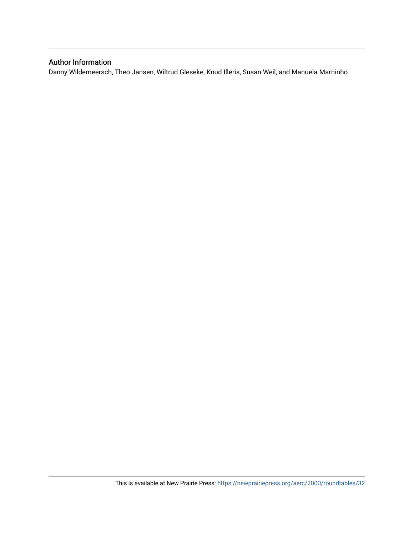## Author Information

Danny Wildemeersch, Theo Jansen, Wiltrud Gleseke, Knud Illeris, Susan Weil, and Manuela Marninho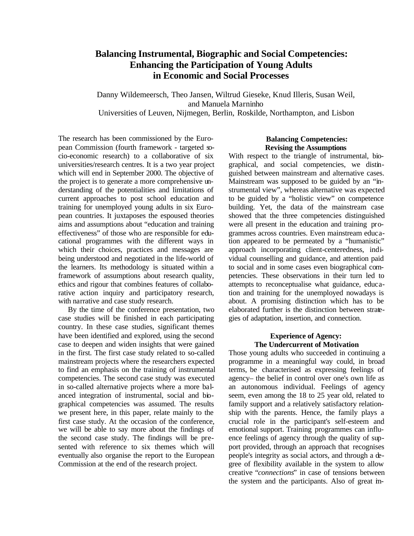# **Balancing Instrumental, Biographic and Social Competencies: Enhancing the Participation of Young Adults in Economic and Social Processes**

Danny Wildemeersch, Theo Jansen, Wiltrud Gieseke, Knud Illeris, Susan Weil, and Manuela Marninho Universities of Leuven, Nijmegen, Berlin, Roskilde, Northampton, and Lisbon

The research has been commissioned by the European Commission (fourth framework - targeted socio-economic research) to a collaborative of six universities/research centres. It is a two year project which will end in September 2000. The objective of the project is to generate a more comprehensive understanding of the potentialities and limitations of current approaches to post school education and training for unemployed young adults in six European countries. It juxtaposes the espoused theories aims and assumptions about "education and training effectiveness" of those who are responsible for educational programmes with the different ways in which their choices, practices and messages are being understood and negotiated in the life-world of the learners. Its methodology is situated within a framework of assumptions about research quality, ethics and rigour that combines features of collaborative action inquiry and participatory research, with narrative and case study research.

By the time of the conference presentation, two case studies will be finished in each participating country. In these case studies, significant themes have been identified and explored, using the second case to deepen and widen insights that were gained in the first. The first case study related to so-called mainstream projects where the researchers expected to find an emphasis on the training of instrumental competencies. The second case study was executed in so-called alternative projects where a more balanced integration of instrumental, social and biographical competencies was assumed. The results we present here, in this paper, relate mainly to the first case study. At the occasion of the conference, we will be able to say more about the findings of the second case study. The findings will be presented with reference to six themes which will eventually also organise the report to the European Commission at the end of the research project.

#### **Balancing Competencies: Revising the Assumptions**

With respect to the triangle of instrumental, biographical, and social competencies, we distinguished between mainstream and alternative cases. Mainstream was supposed to be guided by an "instrumental view", whereas alternative was expected to be guided by a "holistic view" on competence building. Yet, the data of the mainstream case showed that the three competencies distinguished were all present in the education and training programmes across countries. Even mainstream education appeared to be permeated by a "humanistic" approach incorporating client-centeredness, individual counselling and guidance, and attention paid to social and in some cases even biographical competencies. These observations in their turn led to attempts to reconceptualise what guidance, education and training for the unemployed nowadays is about. A promising distinction which has to be elaborated further is the distinction between strategies of adaptation, insertion, and connection.

#### **Experience of Agency: The Undercurrent of Motivation**

Those young adults who succeeded in continuing a programme in a meaningful way could, in broad terms, be characterised as expressing feelings of agency– the belief in control over one's own life as an autonomous individual. Feelings of agency seem, even among the 18 to 25 year old, related to family support and a relatively satisfactory relationship with the parents. Hence, the family plays a crucial role in the participant's self-esteem and emotional support. Training programmes can influence feelings of agency through the quality of support provided, through an approach that recognises people's integrity as social actors, and through a degree of flexibility available in the system to allow creative "*connections*" in case of tensions between the system and the participants. Also of great im